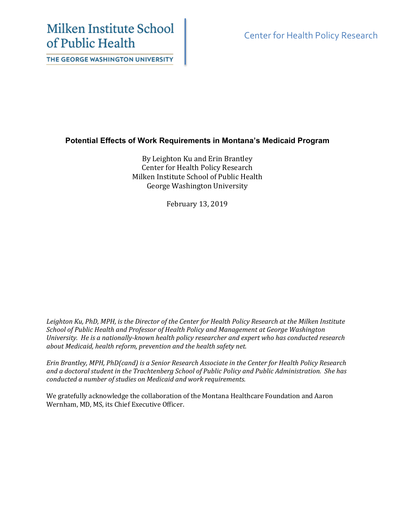# Milken Institute School of Public Health

THE GEORGE WASHINGTON UNIVERSITY

Center for Health Policy Research

# **Potential Effects of Work Requirements in Montana's Medicaid Program**

By Leighton Ku and Erin Brantley Center for Health Policy Research Milken Institute School of Public Health George Washington University

February 13, 2019

*Leighton Ku, PhD, MPH, is the Director of the Center for Health Policy Research at the Milken Institute School of Public Health and Professor of Health Policy and Management at George Washington University. He is a nationally-known health policy researcher and expert who has conducted research about Medicaid, health reform, prevention and the health safety net.*

*Erin Brantley, MPH, PhD(cand) is a Senior Research Associate in the Center for Health Policy Research and a doctoral student in the Trachtenberg School of Public Policy and Public Administration. She has conducted a number of studies on Medicaid and work requirements.*

We gratefully acknowledge the collaboration of the Montana Healthcare Foundation and Aaron Wernham, MD, MS, its Chief Executive Officer.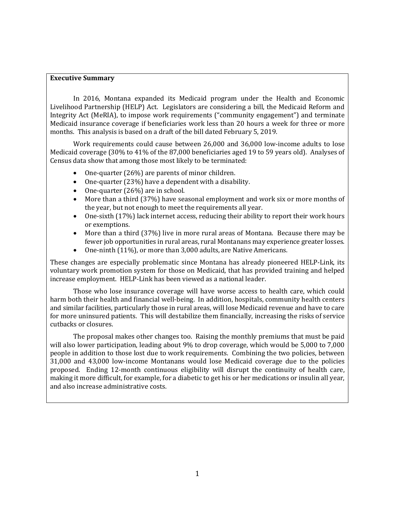# **Executive Summary**

In 2016, Montana expanded its Medicaid program under the Health and Economic Livelihood Partnership (HELP) Act. Legislators are considering a bill, the Medicaid Reform and Integrity Act (MeRIA), to impose work requirements ("community engagement") and terminate Medicaid insurance coverage if beneficiaries work less than 20 hours a week for three or more months. This analysis is based on a draft of the bill dated February 5, 2019.

Work requirements could cause between 26,000 and 36,000 low-income adults to lose Medicaid coverage (30% to 41% of the 87,000 beneficiaries aged 19 to 59 years old). Analyses of Census data show that among those most likely to be terminated:

- One-quarter (26%) are parents of minor children.
- One-quarter (23%) have a dependent with a disability.
- One-quarter (26%) are in school.
- More than a third (37%) have seasonal employment and work six or more months of the year, but not enough to meet the requirements all year.
- One-sixth (17%) lack internet access, reducing their ability to report their work hours or exemptions.
- More than a third (37%) live in more rural areas of Montana. Because there may be fewer job opportunities in rural areas, rural Montanans may experience greater losses.
- One-ninth (11%), or more than 3,000 adults, are Native Americans.

These changes are especially problematic since Montana has already pioneered HELP-Link, its voluntary work promotion system for those on Medicaid, that has provided training and helped increase employment. HELP-Link has been viewed as a national leader.

Those who lose insurance coverage will have worse access to health care, which could harm both their health and financial well-being. In addition, hospitals, community health centers and similar facilities, particularly those in rural areas, will lose Medicaid revenue and have to care for more uninsured patients. This will destabilize them financially, increasing the risks of service cutbacks or closures.

The proposal makes other changes too. Raising the monthly premiums that must be paid will also lower participation, leading about 9% to drop coverage, which would be 5,000 to 7,000 people in addition to those lost due to work requirements. Combining the two policies, between 31,000 and 43,000 low-income Montanans would lose Medicaid coverage due to the policies proposed. Ending 12-month continuous eligibility will disrupt the continuity of health care, making it more difficult, for example, for a diabetic to get his or her medications or insulin all year, and also increase administrative costs.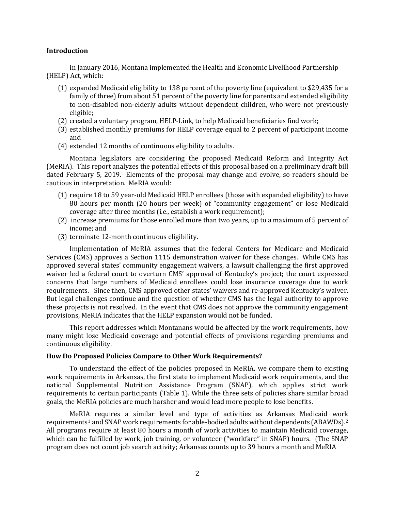#### **Introduction**

In January 2016, Montana implemented the Health and Economic Livelihood Partnership (HELP) Act, which:

- (1) expanded Medicaid eligibility to 138 percent of the poverty line (equivalent to \$29,435 for a family of three) from about 51 percent of the poverty line for parents and extended eligibility to non-disabled non-elderly adults without dependent children, who were not previously eligible;
- (2) created a voluntary program, HELP-Link, to help Medicaid beneficiaries find work;
- (3) established monthly premiums for HELP coverage equal to 2 percent of participant income and
- (4) extended 12 months of continuous eligibility to adults.

Montana legislators are considering the proposed Medicaid Reform and Integrity Act (MeRIA). This report analyzes the potential effects of this proposal based on a preliminary draft bill dated February 5, 2019. Elements of the proposal may change and evolve, so readers should be cautious in interpretation. MeRIA would:

- (1) require 18 to 59 year-old Medicaid HELP enrollees (those with expanded eligibility) to have 80 hours per month (20 hours per week) of "community engagement" or lose Medicaid coverage after three months (i.e., establish a work requirement);
- (2) increase premiums for those enrolled more than two years, up to a maximum of 5 percent of income; and
- (3) terminate 12-month continuous eligibility.

Implementation of MeRIA assumes that the federal Centers for Medicare and Medicaid Services (CMS) approves a Section 1115 demonstration waiver for these changes. While CMS has approved several states' community engagement waivers, a lawsuit challenging the first approved waiver led a federal court to overturn CMS' approval of Kentucky's project; the court expressed concerns that large numbers of Medicaid enrollees could lose insurance coverage due to work requirements. Since then, CMS approved other states' waivers and re-approved Kentucky's waiver. But legal challenges continue and the question of whether CMS has the legal authority to approve these projects is not resolved. In the event that CMS does not approve the community engagement provisions, MeRIA indicates that the HELP expansion would not be funded.

This report addresses which Montanans would be affected by the work requirements, how many might lose Medicaid coverage and potential effects of provisions regarding premiums and continuous eligibility.

#### **How Do Proposed Policies Compare to Other Work Requirements?**

To understand the effect of the policies proposed in MeRIA, we compare them to existing work requirements in Arkansas, the first state to implement Medicaid work requirements, and the national Supplemental Nutrition Assistance Program (SNAP), which applies strict work requirements to certain participants (Table 1). While the three sets of policies share similar broad goals, the MeRIA policies are much harsher and would lead more people to lose benefits.

MeRIA requires a similar level and type of activities as Arkansas Medicaid work requirements<sup>[1](#page-13-0)</sup> and SNAP work requirements for able-bodied adults without dependents (ABAWDs).<sup>[2](#page-13-1)</sup> All programs require at least 80 hours a month of work activities to maintain Medicaid coverage, which can be fulfilled by work, job training, or volunteer ("workfare" in SNAP) hours. (The SNAP program does not count job search activity; Arkansas counts up to 39 hours a month and MeRIA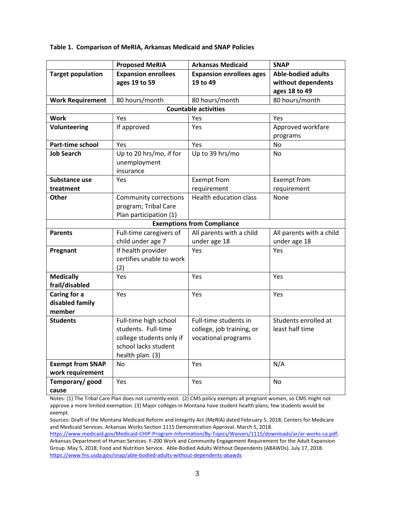#### **Table 1. Comparison of MeRIA, Arkansas Medicaid and SNAP Policies**

|                                             | <b>Proposed MeRIA</b>                                                                                                | <b>Arkansas Medicaid</b>                                                  | <b>SNAP</b>                                                      |  |  |  |
|---------------------------------------------|----------------------------------------------------------------------------------------------------------------------|---------------------------------------------------------------------------|------------------------------------------------------------------|--|--|--|
| <b>Target population</b>                    | <b>Expansion enrollees</b><br>ages 19 to 59                                                                          | <b>Expansion enrollees ages</b><br>19 to 49                               | <b>Able-bodied adults</b><br>without dependents<br>ages 18 to 49 |  |  |  |
| <b>Work Requirement</b>                     | 80 hours/month                                                                                                       | 80 hours/month                                                            | 80 hours/month                                                   |  |  |  |
| <b>Countable activities</b>                 |                                                                                                                      |                                                                           |                                                                  |  |  |  |
| <b>Work</b>                                 | Yes                                                                                                                  | Yes                                                                       | Yes                                                              |  |  |  |
| Volunteering                                | If approved                                                                                                          | Yes                                                                       | Approved workfare<br>programs                                    |  |  |  |
| Part-time school                            | Yes                                                                                                                  | Yes                                                                       | No                                                               |  |  |  |
| <b>Job Search</b>                           | Up to 20 hrs/mo, if for<br>unemployment<br>insurance                                                                 | Up to 39 hrs/mo                                                           | <b>No</b>                                                        |  |  |  |
| Substance use                               | Yes                                                                                                                  | Exempt from                                                               | Exempt from                                                      |  |  |  |
| treatment                                   |                                                                                                                      | requirement                                                               | requirement                                                      |  |  |  |
| Other                                       | <b>Community corrections</b><br>program; Tribal Care<br>Plan participation (1)                                       | Health education class                                                    | None                                                             |  |  |  |
| <b>Exemptions from Compliance</b>           |                                                                                                                      |                                                                           |                                                                  |  |  |  |
| <b>Parents</b>                              | Full-time caregivers of<br>child under age 7                                                                         | All parents with a child<br>under age 18                                  | All parents with a child<br>under age 18                         |  |  |  |
| Pregnant                                    | If health provider<br>certifies unable to work<br>(2)                                                                | Yes                                                                       | Yes                                                              |  |  |  |
| <b>Medically</b><br>frail/disabled          | Yes                                                                                                                  | Yes                                                                       | Yes                                                              |  |  |  |
| Caring for a<br>disabled family<br>member   | Yes                                                                                                                  | Yes                                                                       | Yes                                                              |  |  |  |
| <b>Students</b>                             | Full-time high school<br>students. Full-time<br>college students only if<br>school lacks student<br>health plan. (3) | Full-time students in<br>college, job training, or<br>vocational programs | Students enrolled at<br>least half time                          |  |  |  |
| <b>Exempt from SNAP</b><br>work requirement | No                                                                                                                   | Yes                                                                       | N/A                                                              |  |  |  |
| Temporary/ good<br>cause                    | Yes                                                                                                                  | Yes                                                                       | No                                                               |  |  |  |

Notes: (1) The Tribal Care Plan does not currently exist. (2) CMS policy exempts all pregnant women, so CMS might not approve a more limited exemption. (3) Major colleges in Montana have student health plans; few students would be exempt.

Sources: Draft of the Montana Medicaid Reform and Integrity Act (MeRIA) dated February 5, 2018; Centers for Medicare and Medicaid Services. Arkansas Works Section 1115 Demonstration Approval. March 5, 2018.

https://www.medicaid.gov/Medicaid-CHIP-Program-Information/By-Topics/Waivers/1115/downloads/ar/ar-works-ca.pdf; Arkansas Department of Human Services. F-200 Work and Community Engagement Requirement for the Adult Expansion Group. May 5, 2018; Food and Nutrition Service. Able-Bodied Adults Without Dependents (ABAWDs). July 17, 2018. https://www.fns.usda.gov/snap/able-bodied-adults-without-dependents-abawds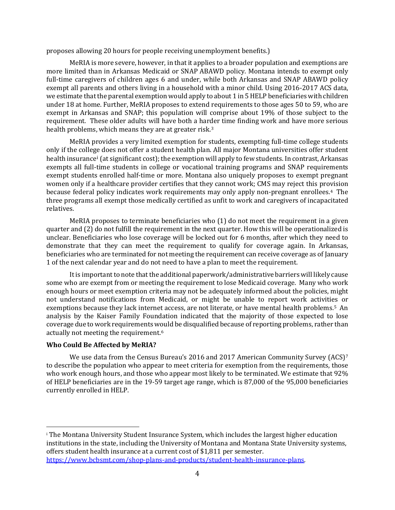proposes allowing 20 hours for people receiving unemployment benefits.)

MeRIA is more severe, however, in that it applies to a broader population and exemptions are more limited than in Arkansas Medicaid or SNAP ABAWD policy. Montana intends to exempt only full-time caregivers of children ages 6 and under, while both Arkansas and SNAP ABAWD policy exempt all parents and others living in a household with a minor child. Using 2016-2017 ACS data, we estimate that the parental exemption would apply to about 1 in 5 HELP beneficiaries with children under 18 at home. Further, MeRIA proposes to extend requirements to those ages 50 to 59, who are exempt in Arkansas and SNAP; this population will comprise about 19% of those subject to the requirement. These older adults will have both a harder time finding work and have more serious health problems, which means they are at greater risk.[3](#page-13-2)

MeRIA provides a very limited exemption for students, exempting full-time college students only if the college does not offer a student health plan. All major Montana universities offer student health [i](#page-4-0)nsurance<sup>i</sup> (at significant cost); the exemption will apply to few students. In contrast, Arkansas exempts all full-time students in college or vocational training programs and SNAP requirements exempt students enrolled half-time or more. Montana also uniquely proposes to exempt pregnant women only if a healthcare provider certifies that they cannot work; CMS may reject this provision because federal policy indicates work requirements may only apply non-pregnant enrollees.<sup>[4](#page-13-3)</sup> The three programs all exempt those medically certified as unfit to work and caregivers of incapacitated relatives.

MeRIA proposes to terminate beneficiaries who (1) do not meet the requirement in a given quarter and (2) do not fulfill the requirement in the next quarter. How this will be operationalized is unclear. Beneficiaries who lose coverage will be locked out for 6 months, after which they need to demonstrate that they can meet the requirement to qualify for coverage again. In Arkansas, beneficiaries who are terminated for not meeting the requirement can receive coverage as of January 1 of the next calendar year and do not need to have a plan to meet the requirement.

It is importantto note that the additional paperwork/administrative barriers will likely cause some who are exempt from or meeting the requirement to lose Medicaid coverage. Many who work enough hours or meet exemption criteria may not be adequately informed about the policies, might not understand notifications from Medicaid, or might be unable to report work activities or exemptions because they lack internet access, are not literate, or have mental health problems.[5](#page-13-4) An analysis by the Kaiser Family Foundation indicated that the majority of those expected to lose coverage due to work requirements would be disqualified because of reporting problems, rather than actually not meeting the requirement. [6](#page-13-5)

# **Who Could Be Affected by MeRIA?**

We use data from the Census Bureau's 2016 and 201[7](#page-13-6) American Community Survey (ACS)<sup>7</sup> to describe the population who appear to meet criteria for exemption from the requirements, those who work enough hours, and those who appear most likely to be terminated. We estimate that 92% of HELP beneficiaries are in the 19-59 target age range, which is 87,000 of the 95,000 beneficiaries currently enrolled in HELP.

<span id="page-4-0"></span> $\overline{a}$ <sup>i</sup> The Montana University Student Insurance System, which includes the largest higher education institutions in the state, including the University of Montana and Montana State University systems, offers student health insurance at a current cost of \$1,811 per semester. https://www.bcbsmt.com/shop-plans-and-products/student-health-insurance-plans.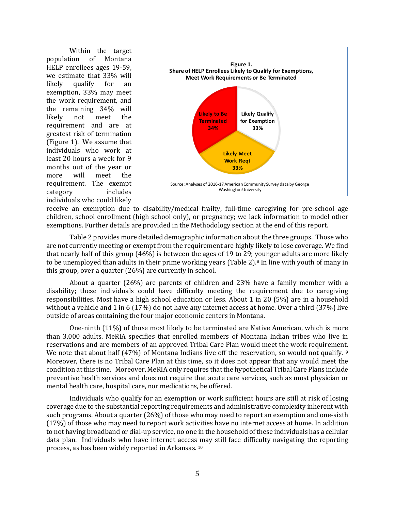Within the target population of Montana HELP enrollees ages 19-59, we estimate that 33% will likely qualify for an exemption, 33% may meet the work requirement, and the remaining 34% will likely not meet the requirement and are at greatest risk of termination (Figure 1). We assume that individuals who work at least 20 hours a week for 9 months out of the year or more will meet the requirement. The exempt category includes individuals who could likely



receive an exemption due to disability/medical frailty, full-time caregiving for pre-school age children, school enrollment (high school only), or pregnancy; we lack information to model other exemptions. Further details are provided in the Methodology section at the end of this report.

Table 2 provides more detailed demographic information about the three groups. Those who are not currently meeting or exempt from the requirement are highly likely to lose coverage. We find that nearly half of this group (46%) is between the ages of 19 to 29; younger adults are more likely to be unemployed than adults in their prime working years (Table 2).<sup>[8](#page-13-7)</sup> In line with youth of many in this group, over a quarter (26%) are currently in school.

About a quarter (26%) are parents of children and 23% have a family member with a disability; these individuals could have difficulty meeting the requirement due to caregiving responsibilities. Most have a high school education or less. About 1 in 20 (5%) are in a household without a vehicle and 1 in 6 (17%) do not have any internet access at home. Over a third (37%) live outside of areas containing the four major economic centers in Montana.

One-ninth (11%) of those most likely to be terminated are Native American, which is more than 3,000 adults. MeRIA specifies that enrolled members of Montana Indian tribes who live in reservations and are members of an approved Tribal Care Plan would meet the work requirement. We note that about half (47%) of Montana Indians live off the reservation, so would not qualify. [9](#page-13-8) Moreover, there is no Tribal Care Plan at this time, so it does not appear that any would meet the condition at this time. Moreover, MeRIA only requires that the hypothetical Tribal Care Plans include preventive health services and does not require that acute care services, such as most physician or mental health care, hospital care, nor medications, be offered.

Individuals who qualify for an exemption or work sufficient hours are still at risk of losing coverage due to the substantial reporting requirements and administrative complexity inherent with such programs. About a quarter (26%) of those who may need to report an exemption and one-sixth (17%) of those who may need to report work activities have no internet access at home. In addition to not having broadband or dial-up service, no one in the household of these individuals has a cellular data plan. Individuals who have internet access may still face difficulty navigating the reporting process, as has been widely reported in Arkansas. [10](#page-13-9)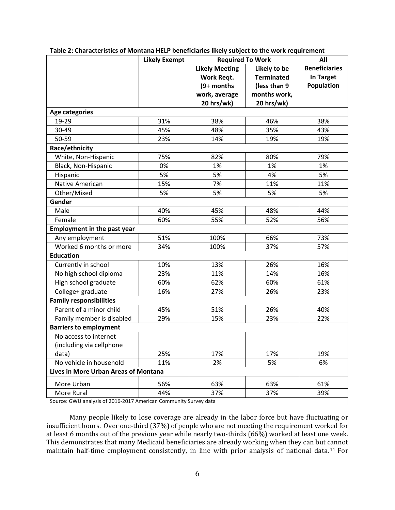|                                                                  | <b>Likely Exempt</b> | <b>Required To Work</b> |                   | All                  |  |  |
|------------------------------------------------------------------|----------------------|-------------------------|-------------------|----------------------|--|--|
|                                                                  |                      | <b>Likely Meeting</b>   | Likely to be      | <b>Beneficiaries</b> |  |  |
|                                                                  |                      | Work Reqt.              | <b>Terminated</b> | <b>In Target</b>     |  |  |
|                                                                  |                      | (9+ months              | (less than 9      | Population           |  |  |
|                                                                  |                      | work, average           | months work,      |                      |  |  |
|                                                                  |                      | 20 hrs/wk)              | 20 hrs/wk)        |                      |  |  |
| <b>Age categories</b>                                            |                      |                         |                   |                      |  |  |
| 19-29                                                            | 31%                  | 38%                     | 46%               | 38%                  |  |  |
| 30-49                                                            | 45%                  | 48%                     | 35%               | 43%                  |  |  |
| 50-59                                                            | 23%                  | 14%                     | 19%               | 19%                  |  |  |
| Race/ethnicity                                                   |                      |                         |                   |                      |  |  |
| White, Non-Hispanic                                              | 75%                  | 82%                     | 80%               | 79%                  |  |  |
| Black, Non-Hispanic                                              | 0%                   | 1%                      | 1%                | 1%                   |  |  |
| Hispanic                                                         | 5%                   | 5%                      | 4%                | 5%                   |  |  |
| <b>Native American</b>                                           | 15%                  | 7%                      | 11%               | 11%                  |  |  |
| Other/Mixed                                                      | 5%                   | 5%                      | 5%                | 5%                   |  |  |
| Gender                                                           |                      |                         |                   |                      |  |  |
| Male                                                             | 40%                  | 45%                     | 48%               | 44%                  |  |  |
| Female                                                           | 60%                  | 55%                     | 52%               | 56%                  |  |  |
| <b>Employment in the past year</b>                               |                      |                         |                   |                      |  |  |
| Any employment                                                   | 51%                  | 100%                    | 66%               | 73%                  |  |  |
| Worked 6 months or more                                          | 34%                  | 100%                    | 37%               | 57%                  |  |  |
| <b>Education</b>                                                 |                      |                         |                   |                      |  |  |
| Currently in school                                              | 10%                  | 13%                     | 26%               | 16%                  |  |  |
| No high school diploma                                           | 23%                  | 11%                     | 14%               | 16%                  |  |  |
| High school graduate                                             | 60%                  | 62%                     | 60%               | 61%                  |  |  |
| College+ graduate                                                | 16%                  | 27%                     | 26%               | 23%                  |  |  |
| <b>Family responsibilities</b>                                   |                      |                         |                   |                      |  |  |
| Parent of a minor child                                          | 45%                  | 51%                     | 26%               | 40%                  |  |  |
| Family member is disabled                                        | 29%                  | 15%                     | 23%               | 22%                  |  |  |
| <b>Barriers to employment</b>                                    |                      |                         |                   |                      |  |  |
| No access to internet                                            |                      |                         |                   |                      |  |  |
| (including via cellphone                                         |                      |                         |                   |                      |  |  |
| data)                                                            | 25%                  | 17%                     | 17%               | 19%                  |  |  |
| No vehicle in household                                          | 11%                  | 2%                      | 5%                | 6%                   |  |  |
| Lives in More Urban Areas of Montana                             |                      |                         |                   |                      |  |  |
| More Urban                                                       | 56%                  | 63%                     | 63%               | 61%                  |  |  |
| More Rural                                                       | 44%                  | 37%                     | 37%               | 39%                  |  |  |
| Source: GWU analysis of 2016-2017 American Community Survey data |                      |                         |                   |                      |  |  |

#### **Table 2: Characteristics of Montana HELP beneficiaries likely subject to the work requirement**

Source: GWU analysis of 2016-2017 American Community Survey data

Many people likely to lose coverage are already in the labor force but have fluctuating or insufficient hours. Over one-third (37%) of people who are not meeting the requirement worked for at least 6 months out of the previous year while nearly two-thirds (66%) worked at least one week. This demonstrates that many Medicaid beneficiaries are already working when they can but cannot maintain half-time employment consistently, in line with prior analysis of national data. [11](#page-13-10) For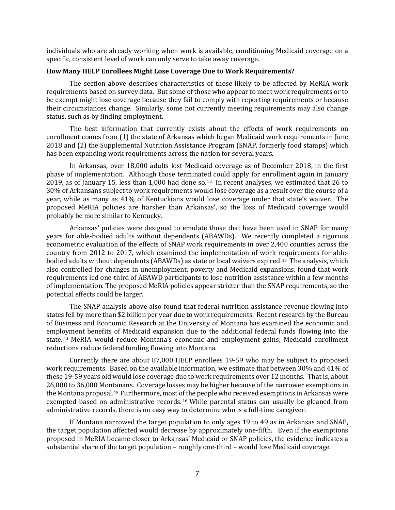individuals who are already working when work is available, conditioning Medicaid coverage on a specific, consistent level of work can only serve to take away coverage.

# **How Many HELP Enrollees Might Lose Coverage Due to Work Requirements?**

The section above describes characteristics of those likely to be affected by MeRIA work requirements based on survey data. But some of those who appear to meet work requirements or to be exempt might lose coverage because they fail to comply with reporting requirements or because their circumstances change. Similarly, some not currently meeting requirements may also change status, such as by finding employment.

The best information that currently exists about the effects of work requirements on enrollment comes from (1) the state of Arkansas which began Medicaid work requirements in June 2018 and (2) the Supplemental Nutrition Assistance Program (SNAP, formerly food stamps) which has been expanding work requirements across the nation for several years.

In Arkansas, over 18,000 adults lost Medicaid coverage as of December 2018, in the first phase of implementation. Although those terminated could apply for enrollment again in January 2019, as of January 15, less than 1,000 had done so.[12](#page-13-11) In recent analyses, we estimated that 26 to 30% of Arkansans subject to work requirements would lose coverage as a result over the course of a year, while as many as 41% of Kentuckians would lose coverage under that state's waiver. The proposed MeRIA policies are harsher than Arkansas', so the loss of Medicaid coverage would probably be more similar to Kentucky.

Arkansas' policies were designed to emulate those that have been used in SNAP for many years for able-bodied adults without dependents (ABAWDs). We recently completed a rigorous econometric evaluation of the effects of SNAP work requirements in over 2,400 counties across the country from 2012 to 2017, which examined the implementation of work requirements for ablebodied adults without dependents (ABAWDs) as state or local waivers expired. [13](#page-13-12) The analysis, which also controlled for changes in unemployment, poverty and Medicaid expansions, found that work requirements led one-third of ABAWD participants to lose nutrition assistance within a few months of implementation. The proposed MeRIA policies appear stricter than the SNAP requirements, so the potential effects could be larger.

The SNAP analysis above also found that federal nutrition assistance revenue flowing into states fell by more than \$2 billion per year due to work requirements. Recent research by the Bureau of Business and Economic Research at the University of Montana has examined the economic and employment benefits of Medicaid expansion due to the additional federal funds flowing into the state. [14](#page-14-0) MeRIA would reduce Montana's economic and employment gains; Medicaid enrollment reductions reduce federal funding flowing into Montana.

Currently there are about 87,000 HELP enrollees 19-59 who may be subject to proposed work requirements. Based on the available information, we estimate that between 30% and 41% of these 19-59 years old would lose coverage due to work requirements over 12 months. That is, about 26,000 to 36,000 Montanans. Coverage losses may be higher because of the narrower exemptions in the Montana proposal.[15](#page-14-1) Furthermore, most of the people who received exemptions in Arkansas were exempted based on administrative records. [16](#page-14-2) While parental status can usually be gleaned from administrative records, there is no easy way to determine who is a full-time caregiver.

If Montana narrowed the target population to only ages 19 to 49 as in Arkansas and SNAP, the target population affected would decrease by approximately one-fifth. Even if the exemptions proposed in MeRIA became closer to Arkansas' Medicaid or SNAP policies, the evidence indicates a substantial share of the target population – roughly one-third – would lose Medicaid coverage.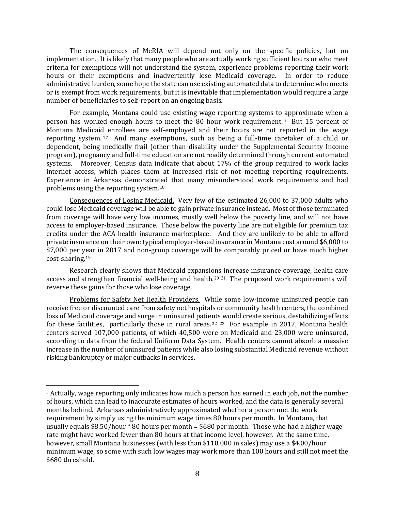The consequences of MeRIA will depend not only on the specific policies, but on implementation. It is likely that many people who are actually working sufficient hours or who meet criteria for exemptions will not understand the system, experience problems reporting their work hours or their exemptions and inadvertently lose Medicaid coverage. In order to reduce administrative burden, some hope the state can use existing automated data to determine who meets or is exempt from work requirements, but it is inevitable that implementation would require a large number of beneficiaries to self-report on an ongoing basis.

For example, Montana could use existing wage reporting systems to approximate when a person has worked enough hours to meet the 80 hour work requirement.<sup>[ii](#page-8-0)</sup> But 15 percent of Montana Medicaid enrollees are self-employed and their hours are not reported in the wage reporting system. [17](#page-14-3) And many exemptions, such as being a full-time caretaker of a child or dependent, being medically frail (other than disability under the Supplemental Security Income program), pregnancy and full-time education are not readily determined through current automated systems. Moreover, Census data indicate that about 17% of the group required to work lacks internet access, which places them at increased risk of not meeting reporting requirements. Experience in Arkansas demonstrated that many misunderstood work requirements and had problems using the reporting system.[18](#page-14-4)

Consequences of Losing Medicaid. Very few of the estimated 26,000 to 37,000 adults who could lose Medicaid coverage will be able to gain private insurance instead. Most of those terminated from coverage will have very low incomes, mostly well below the poverty line, and will not have access to employer-based insurance. Those below the poverty line are not eligible for premium tax credits under the ACA health insurance marketplace. And they are unlikely to be able to afford private insurance on their own: typical employer-based insurance in Montana cost around \$6,000 to \$7,000 per year in 2017 and non-group coverage will be comparably priced or have much higher cost-sharing.[19](#page-14-5)

Research clearly shows that Medicaid expansions increase insurance coverage, health care access and strengthen financial well-being and health.<sup>[20](#page-14-6) [21](#page-14-7)</sup> The proposed work requirements will reverse these gains for those who lose coverage.

Problems for Safety Net Health Providers. While some low-income uninsured people can receive free or discounted care from safety net hospitals or community health centers, the combined loss of Medicaid coverage and surge in uninsured patients would create serious, destabilizing effects for these facilities, particularly those in rural areas.<sup>[22](#page-14-8)</sup> <sup>[23](#page-14-9)</sup> For example in 2017, Montana health centers served 107,000 patients, of which 40,500 were on Medicaid and 23,000 were uninsured, according to data from the federal Uniform Data System. Health centers cannot absorb a massive increase in the number of uninsured patients while also losing substantial Medicaid revenue without risking bankruptcy or major cutbacks in services.

 $\overline{a}$ 

<span id="page-8-0"></span>ii Actually, wage reporting only indicates how much a person has earned in each job, not the number of hours, which can lead to inaccurate estimates of hours worked, and the data is generally several months behind. Arkansas administratively approximated whether a person met the work requirement by simply using the minimum wage times 80 hours per month. In Montana, that usually equals \$8.50/hour \* 80 hours per month = \$680 per month. Those who had a higher wage rate might have worked fewer than 80 hours at that income level, however. At the same time, however, small Montana businesses (with less than \$110,000 in sales) may use a \$4.00/hour minimum wage, so some with such low wages may work more than 100 hours and still not meet the \$680 threshold.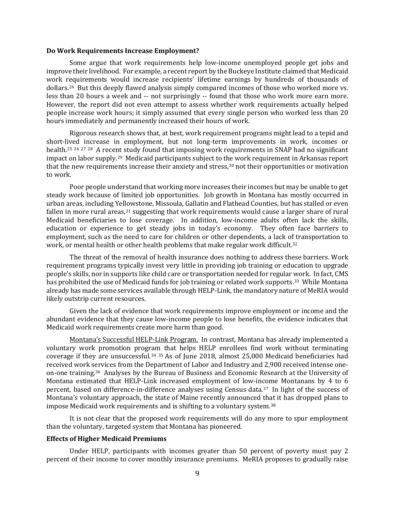#### **Do Work Requirements Increase Employment?**

Some argue that work requirements help low-income unemployed people get jobs and improve their livelihood. For example, a recent report by the Buckeye Institute claimed that Medicaid work requirements would increase recipients' lifetime earnings by hundreds of thousands of dollars.[24](#page-14-10) But this deeply flawed analysis simply compared incomes of those who worked more vs. less than 20 hours a week and -- not surprisingly -- found that those who work more earn more. However, the report did not even attempt to assess whether work requirements actually helped people increase work hours; it simply assumed that every single person who worked less than 20 hours immediately and permanently increased their hours of work.

Rigorous research shows that, at best, work requirement programs might lead to a tepid and short-lived increase in employment, but not long-term improvements in work, incomes or health.<sup>[25](#page-14-11) [26](#page-14-12) [27](#page-14-13) [28](#page-14-14)</sup> A recent study found that imposing work requirements in SNAP had no significant impact on labor supply.[29](#page-15-0) Medicaid participants subject to the work requirement in Arkansas report that the new requirements increase their anxiety and stress,<sup>[30](#page-15-1)</sup> not their opportunities or motivation to work.

Poor people understand that working more increases their incomes but may be unable to get steady work because of limited job opportunities. Job growth in Montana has mostly occurred in urban areas, including Yellowstone, Missoula, Gallatin and Flathead Counties, but has stalled or even fallen in more rural areas,<sup>[31](#page-15-2)</sup> suggesting that work requirements would cause a larger share of rural Medicaid beneficiaries to lose coverage. In addition, low-income adults often lack the skills, education or experience to get steady jobs in today's economy. They often face barriers to employment, such as the need to care for children or other dependents, a lack of transportation to work, or mental health or other health problems that make regular work difficult.<sup>[32](#page-15-3)</sup>

The threat of the removal of health insurance does nothing to address these barriers. Work requirement programs typically invest very little in providing job training or education to upgrade people's skills, nor in supports like child care or transportation needed for regular work. In fact, CMS has prohibited the use of Medicaid funds for job training or related work supports.<sup>[33](#page-15-4)</sup> While Montana already has made some services available through HELP-Link, the mandatory nature of MeRIA would likely outstrip current resources.

Given the lack of evidence that work requirements improve employment or income and the abundant evidence that they cause low-income people to lose benefits, the evidence indicates that Medicaid work requirements create more harm than good.

Montana's Successful HELP-Link Program. In contrast, Montana has already implemented a voluntary work promotion program that helps HELP enrollees find work without terminating coverage if they are unsuccessful.[34](#page-15-5) [35](#page-15-6) As of June 2018, almost 25,000 Medicaid beneficiaries had received work services from the Department of Labor and Industry and 2,900 received intense oneon-one training.[36](#page-15-7) Analyses by the Bureau of Business and Economic Research at the University of Montana estimated that HELP-Link increased employment of low-income Montanans by 4 to 6 percent, based on difference-in-difference analyses using Census data.[37](#page-15-8) In light of the success of Montana's voluntary approach, the state of Maine recently announced that it has dropped plans to impose Medicaid work requirements and is shifting to a voluntary system.<sup>[38](#page-15-9)</sup>

It is not clear that the proposed work requirements will do any more to spur employment than the voluntary, targeted system that Montana has pioneered.

#### **Effects of Higher Medicaid Premiums**

Under HELP, participants with incomes greater than 50 percent of poverty must pay 2 percent of their income to cover monthly insurance premiums. MeRIA proposes to gradually raise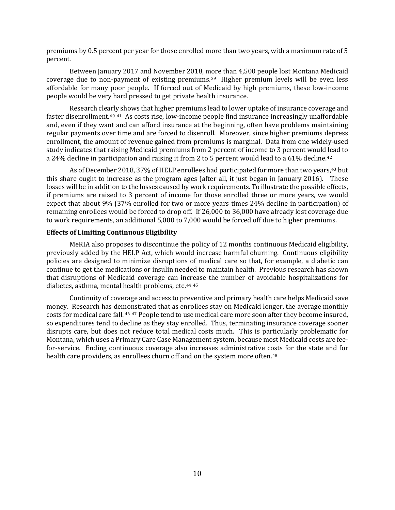premiums by 0.5 percent per year for those enrolled more than two years, with a maximum rate of 5 percent.

Between January 2017 and November 2018, more than 4,500 people lost Montana Medicaid coverage due to non-payment of existing premiums. [39](#page-15-10) Higher premium levels will be even less affordable for many poor people. If forced out of Medicaid by high premiums, these low-income people would be very hard pressed to get private health insurance.

Research clearly shows that higher premiums lead to lower uptake of insurance coverage and faster disenrollment.[40](#page-15-11) [41](#page-15-12) As costs rise, low-income people find insurance increasingly unaffordable and, even if they want and can afford insurance at the beginning, often have problems maintaining regular payments over time and are forced to disenroll. Moreover, since higher premiums depress enrollment, the amount of revenue gained from premiums is marginal. Data from one widely-used study indicates that raising Medicaid premiums from 2 percent of income to 3 percent would lead to a 24% decline in participation and raising it from 2 to 5 percent would lead to a 61% decline.<sup>[42](#page-15-13)</sup>

As of December 2018, 37% of HELP enrollees had participated for more than two years,<sup>[43](#page-15-14)</sup> but this share ought to increase as the program ages (after all, it just began in January 2016). These losses will be in addition to the losses caused by work requirements. To illustrate the possible effects, if premiums are raised to 3 percent of income for those enrolled three or more years, we would expect that about 9% (37% enrolled for two or more years times 24% decline in participation) of remaining enrollees would be forced to drop off. If 26,000 to 36,000 have already lost coverage due to work requirements, an additional 5,000 to 7,000 would be forced off due to higher premiums.

# **Effects of Limiting Continuous Eligibility**

MeRIA also proposes to discontinue the policy of 12 months continuous Medicaid eligibility, previously added by the HELP Act, which would increase harmful churning. Continuous eligibility policies are designed to minimize disruptions of medical care so that, for example, a diabetic can continue to get the medications or insulin needed to maintain health. Previous research has shown that disruptions of Medicaid coverage can increase the number of avoidable hospitalizations for diabetes, asthma, mental health problems, etc.[44](#page-15-15) [45](#page-15-16)

Continuity of coverage and access to preventive and primary health care helps Medicaid save money. Research has demonstrated that as enrollees stay on Medicaid longer, the average monthly costs for medical care fall. [46](#page-15-17) [47](#page-15-18) People tend to use medical care more soon after they become insured, so expenditures tend to decline as they stay enrolled. Thus, terminating insurance coverage sooner disrupts care, but does not reduce total medical costs much. This is particularly problematic for Montana, which uses a Primary Care Case Management system, because most Medicaid costs are feefor-service. Ending continuous coverage also increases administrative costs for the state and for health care providers, as enrollees churn off and on the system more often.<sup>[48](#page-15-19)</sup>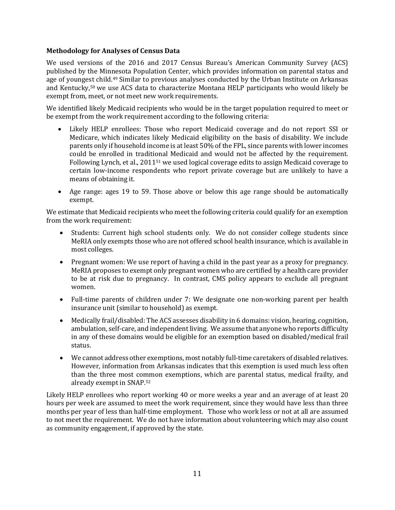# **Methodology for Analyses of Census Data**

We used versions of the 2016 and 2017 Census Bureau's American Community Survey (ACS) published by the Minnesota Population Center, which provides information on parental status and age of youngest child.[49](#page-15-20) Similar to previous analyses conducted by the Urban Institute on Arkansas and Kentucky, [50](#page-15-21) we use ACS data to characterize Montana HELP participants who would likely be exempt from, meet, or not meet new work requirements.

We identified likely Medicaid recipients who would be in the target population required to meet or be exempt from the work requirement according to the following criteria:

- Likely HELP enrollees: Those who report Medicaid coverage and do not report SSI or Medicare, which indicates likely Medicaid eligibility on the basis of disability. We include parents only if household income is at least 50% of the FPL, since parents with lower incomes could be enrolled in traditional Medicaid and would not be affected by the requirement. Following Lynch, et al., 2011[51](#page-15-22) we used logical coverage edits to assign Medicaid coverage to certain low-income respondents who report private coverage but are unlikely to have a means of obtaining it.
- Age range: ages 19 to 59. Those above or below this age range should be automatically exempt.

We estimate that Medicaid recipients who meet the following criteria could qualify for an exemption from the work requirement:

- Students: Current high school students only. We do not consider college students since MeRIA only exempts those who are not offered school health insurance, which is available in most colleges.
- Pregnant women: We use report of having a child in the past year as a proxy for pregnancy. MeRIA proposes to exempt only pregnant women who are certified by a health care provider to be at risk due to pregnancy. In contrast, CMS policy appears to exclude all pregnant women.
- Full-time parents of children under 7: We designate one non-working parent per health insurance unit (similar to household) as exempt.
- Medically frail/disabled: The ACS assesses disability in 6 domains: vision, hearing, cognition, ambulation, self-care, and independent living. We assume that anyone who reports difficulty in any of these domains would be eligible for an exemption based on disabled/medical frail status.
- We cannot address other exemptions, most notably full-time caretakers of disabled relatives. However, information from Arkansas indicates that this exemption is used much less often than the three most common exemptions, which are parental status, medical frailty, and already exempt in SNAP.[52](#page-15-23)

Likely HELP enrollees who report working 40 or more weeks a year and an average of at least 20 hours per week are assumed to meet the work requirement, since they would have less than three months per year of less than half-time employment. Those who work less or not at all are assumed to not meet the requirement. We do not have information about volunteering which may also count as community engagement, if approved by the state.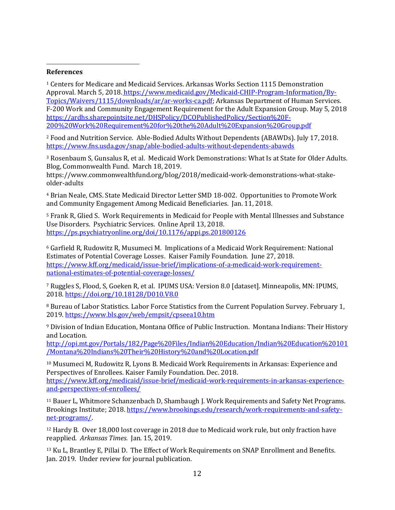### **References**

<u>.</u>

<sup>1</sup> Centers for Medicare and Medicaid Services. Arkansas Works Section 1115 Demonstration Approval. March 5, 2018. https://www.medicaid.gov/Medicaid-CHIP-Program-Information/By-Topics/Waivers/1115/downloads/ar/ar-works-ca.pdf; Arkansas Department of Human Services. F-200 Work and Community Engagement Requirement for the Adult Expansion Group. May 5, 2018 https://ardhs.sharepointsite.net/DHSPolicy/DCOPublishedPolicy/Section%20F-200%20Work%20Requirement%20for%20the%20Adult%20Expansion%20Group.pdf

<sup>2</sup> Food and Nutrition Service. Able-Bodied Adults Without Dependents (ABAWDs). July 17, 2018. https://www.fns.usda.gov/snap/able-bodied-adults-without-dependents-abawds

<sup>3</sup> Rosenbaum S, Gunsalus R, et al. Medicaid Work Demonstrations: What Is at State for Older Adults. Blog, Commonwealth Fund. March 18, 2019.

https://www.commonwealthfund.org/blog/2018/medicaid-work-demonstrations-what-stakeolder-adults

<sup>4</sup> Brian Neale, CMS. State Medicaid Director Letter SMD 18-002. Opportunities to Promote Work and Community Engagement Among Medicaid Beneficiaries. Jan. 11, 2018.

<sup>5</sup> Frank R, Glied S. Work Requirements in Medicaid for People with Mental Illnesses and Substance Use Disorders. Psychiatric Services. Online April 13, 2018. https://ps.psychiatryonline.org/doi/10.1176/appi.ps.201800126

<sup>6</sup> Garfield R, Rudowitz R, Musumeci M. Implications of a Medicaid Work Requirement: National Estimates of Potential Coverage Losses. Kaiser Family Foundation. June 27, 2018. https://www.kff.org/medicaid/issue-brief/implications-of-a-medicaid-work-requirementnational-estimates-of-potential-coverage-losses/

<sup>7</sup> Ruggles S, Flood, S, Goeken R, et al. IPUMS USA: Version 8.0 [dataset]. Minneapolis, MN: IPUMS, 2018. https://doi.org/10.18128/D010.V8.0

<sup>8</sup> Bureau of Labor Statistics. Labor Force Statistics from the Current Population Survey. February 1, 2019. https://www.bls.gov/web/empsit/cpseea10.htm

<sup>9</sup> Division of Indian Education, Montana Office of Public Instruction. Montana Indians: Their History and Location.

http://opi.mt.gov/Portals/182/Page%20Files/Indian%20Education/Indian%20Education%20101 /Montana%20Indians%20Their%20History%20and%20Location.pdf

<sup>10</sup> Musumeci M, Rudowitz R, Lyons B. Medicaid Work Requirements in Arkansas: Experience and Perspectives of Enrollees. Kaiser Family Foundation. Dec. 2018. https://www.kff.org/medicaid/issue-brief/medicaid-work-requirements-in-arkansas-experienceand-perspectives-of-enrollees/

<sup>11</sup> Bauer L, Whitmore Schanzenbach D, Shambaugh J. Work Requirements and Safety Net Programs. Brookings Institute; 2018. https://www.brookings.edu/research/work-requirements-and-safetynet-programs/.

<sup>12</sup> Hardy B. Over 18,000 lost coverage in 2018 due to Medicaid work rule, but only fraction have reapplied. *Arkansas Times.* Jan. 15, 2019.

<sup>13</sup> Ku L, Brantley E, Pillai D. The Effect of Work Requirements on SNAP Enrollment and Benefits. Jan. 2019. Under review for journal publication.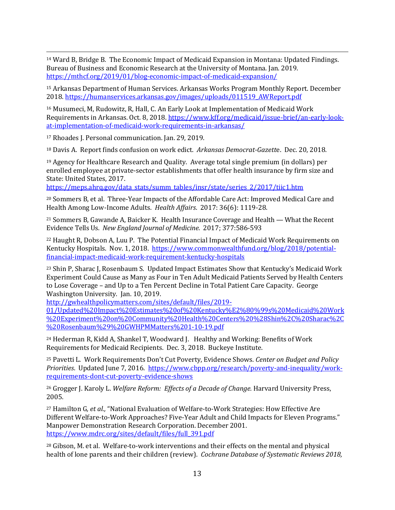<u>.</u> <sup>14</sup> Ward B, Bridge B. The Economic Impact of Medicaid Expansion in Montana: Updated Findings. Bureau of Business and Economic Research at the University of Montana. Jan. 2019. https://mthcf.org/2019/01/blog-economic-impact-of-medicaid-expansion/

<span id="page-13-0"></span><sup>15</sup> Arkansas Department of Human Services. Arkansas Works Program Monthly Report. December 2018. https://humanservices.arkansas.gov/images/uploads/011519\_AWReport.pdf

<sup>16</sup> Musumeci, M, Rudowitz, R, Hall, C. An Early Look at Implementation of Medicaid Work Requirements in Arkansas. Oct. 8, 2018. https://www.kff.org/medicaid/issue-brief/an-early-lookat-implementation-of-medicaid-work-requirements-in-arkansas/

<span id="page-13-1"></span><sup>17</sup> Rhoades J. Personal communication. Jan. 29, 2019.

<sup>18</sup> Davis A. Report finds confusion on work edict. *Arkansas Democrat-Gazett*e. Dec. 20, 2018.

<span id="page-13-2"></span><sup>19</sup> Agency for Healthcare Research and Quality. Average total single premium (in dollars) per enrolled employee at private-sector establishments that offer health insurance by firm size and State: United States, 2017.

https://meps.ahrq.gov/data\_stats/summ\_tables/insr/state/series\_2/2017/tiic1.htm

<span id="page-13-3"></span><sup>20</sup> Sommers B, et al. Three-Year Impacts of the Affordable Care Act: Improved Medical Care and Health Among Low-Income Adults. *Health Affairs*. 2017: 36(6): 1119-28.

<span id="page-13-4"></span><sup>21</sup> Sommers B, Gawande A, Baicker K. Health Insurance Coverage and Health — What the Recent Evidence Tells Us. *New England Journal of Medicine*. 2017; 377:586-593

<span id="page-13-5"></span><sup>22</sup> Haught R, Dobson A, Luu P. The Potential Financial Impact of Medicaid Work Requirements on Kentucky Hospitals. Nov. 1, 2018. https://www.commonwealthfund.org/blog/2018/potentialfinancial-impact-medicaid-work-requirement-kentucky-hospitals

<span id="page-13-6"></span><sup>23</sup> Shin P, Sharac J, Rosenbaum S. Updated Impact Estimates Show that Kentucky's Medicaid Work Experiment Could Cause as Many as Four in Ten Adult Medicaid Patients Served by Health Centers to Lose Coverage – and Up to a Ten Percent Decline in Total Patient Care Capacity. George Washington University. Jan. 10, 2019.

<span id="page-13-7"></span>http://gwhealthpolicymatters.com/sites/default/files/2019-

01/Updated%20Impact%20Estimates%20of%20Kentucky%E2%80%99s%20Medicaid%20Work %20Experiment%20on%20Community%20Health%20Centers%20%28Shin%2C%20Sharac%2C %20Rosenbaum%29%20GWHPMMatters%201-10-19.pdf

<span id="page-13-8"></span><sup>24</sup> Hederman R, Kidd A, Shankel T, Woodward J. Healthy and Working: Benefits of Work Requirements for Medicaid Recipients. Dec. 3, 2018. Buckeye Institute.

<span id="page-13-9"></span><sup>25</sup> Pavetti L. Work Requirements Don't Cut Poverty, Evidence Shows. *Center on Budget and Policy Priorities*. Updated June 7, 2016. https://www.cbpp.org/research/poverty-and-inequality/workrequirements-dont-cut-poverty-evidence-shows

<sup>26</sup> Grogger J. Karoly L. *Welfare Reform: Effects of a Decade of Change.* Harvard University Press, 2005.

<span id="page-13-11"></span><span id="page-13-10"></span><sup>27</sup> Hamilton G*, et al.,* "National Evaluation of Welfare-to-Work Strategies: How Effective Are Different Welfare-to-Work Approaches? Five-Year Adult and Child Impacts for Eleven Programs." Manpower Demonstration Research Corporation. December 2001. https://www.mdrc.org/sites/default/files/full\_391.pdf

<span id="page-13-12"></span><sup>28</sup> Gibson, M. et al. Welfare-to-work interventions and their effects on the mental and physical health of lone parents and their children (review). *Cochrane Database of Systematic Reviews 2018,*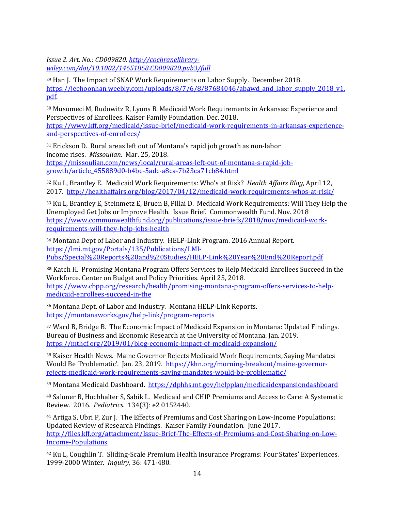<span id="page-14-0"></span><u>.</u> *Issue 2. Art. No.: CD009820. http://cochranelibrarywiley.com/doi/10.1002/14651858.CD009820.pub3/full*

<span id="page-14-1"></span><sup>29</sup> Han J. The Impact of SNAP Work Requirements on Labor Supply. December 2018. https://jeehoonhan.weebly.com/uploads/8/7/6/8/87684046/abawd\_and\_labor\_supply\_2018\_v1. pdf.

<span id="page-14-2"></span><sup>30</sup> Musumeci M, Rudowitz R, Lyons B. Medicaid Work Requirements in Arkansas: Experience and Perspectives of Enrollees. Kaiser Family Foundation. Dec. 2018. https://www.kff.org/medicaid/issue-brief/medicaid-work-requirements-in-arkansas-experienceand-perspectives-of-enrollees/

<span id="page-14-5"></span><span id="page-14-4"></span><span id="page-14-3"></span><sup>31</sup> Erickson D. Rural areas left out of Montana's rapid job growth as non-labor income rises. *Missoulian*. Mar. 25, 2018. https://missoulian.com/news/local/rural-areas-left-out-of-montana-s-rapid-jobgrowth/article\_455889d0-b4be-5adc-a8ca-7b23ca71cb84.html

<sup>32</sup> Ku L, Brantley E. Medicaid Work Requirements: Who's at Risk? *Health Affairs Blog*, April 12, 2017. http://healthaffairs.org/blog/2017/04/12/medicaid-work-requirements-whos-at-risk/

<span id="page-14-7"></span><span id="page-14-6"></span><sup>33</sup> Ku L, Brantley E, Steinmetz E, Bruen B, Pillai D. Medicaid Work Requirements: Will They Help the Unemployed Get Jobs or Improve Health. Issue Brief. Commonwealth Fund. Nov. 2018 https://www.commonwealthfund.org/publications/issue-briefs/2018/nov/medicaid-workrequirements-will-they-help-jobs-health

<span id="page-14-8"></span><sup>34</sup> Montana Dept of Labor and Industry. HELP-Link Program. 2016 Annual Report. https://lmi.mt.gov/Portals/135/Publications/LMI-Pubs/Special%20Reports%20and%20Studies/HELP-Link%20Year%20End%20Report.pdf

<span id="page-14-9"></span>**<sup>35</sup>** Katch H. Promising Montana Program Offers Services to Help Medicaid Enrollees Succeed in the Workforce. Center on Budget and Policy Priorities. April 25, 2018. https://www.cbpp.org/research/health/promising-montana-program-offers-services-to-helpmedicaid-enrollees-succeed-in-the

<sup>36</sup> Montana Dept. of Labor and Industry. Montana HELP-Link Reports. https://montanaworks.gov/help-link/program-reports

<span id="page-14-10"></span><sup>37</sup> Ward B, Bridge B. The Economic Impact of Medicaid Expansion in Montana: Updated Findings. Bureau of Business and Economic Research at the University of Montana. Jan. 2019. https://mthcf.org/2019/01/blog-economic-impact-of-medicaid-expansion/

<span id="page-14-11"></span><sup>38</sup> Kaiser Health News. Maine Governor Rejects Medicaid Work Requirements, Saying Mandates Would Be 'Problematic'. Jan. 23, 2019. https://khn.org/morning-breakout/maine-governorrejects-medicaid-work-requirements-saying-mandates-would-be-problematic/

<span id="page-14-12"></span>39 Montana Medicaid Dashboard. https://dphhs.mt.gov/helpplan/medicaidexpansiondashboard

<sup>40</sup> Saloner B, Hochhalter S, Sabik L. Medicaid and CHIP Premiums and Access to Care: A Systematic Review. 2016*. Pediatrics.* 134(3): e2 0152440.

<span id="page-14-13"></span><sup>41</sup> Artiga S, Ubri P, Zur J. The Effects of Premiums and Cost Sharing on Low-Income Populations: Updated Review of Research Findings. Kaiser Family Foundation. June 2017. http://files.kff.org/attachment/Issue-Brief-The-Effects-of-Premiums-and-Cost-Sharing-on-Low-Income-Populations

<span id="page-14-14"></span><sup>42</sup> Ku L, Coughlin T. Sliding-Scale Premium Health Insurance Programs: Four States' Experiences. 1999-2000 Winter. *Inquiry,* 36: 471-480.